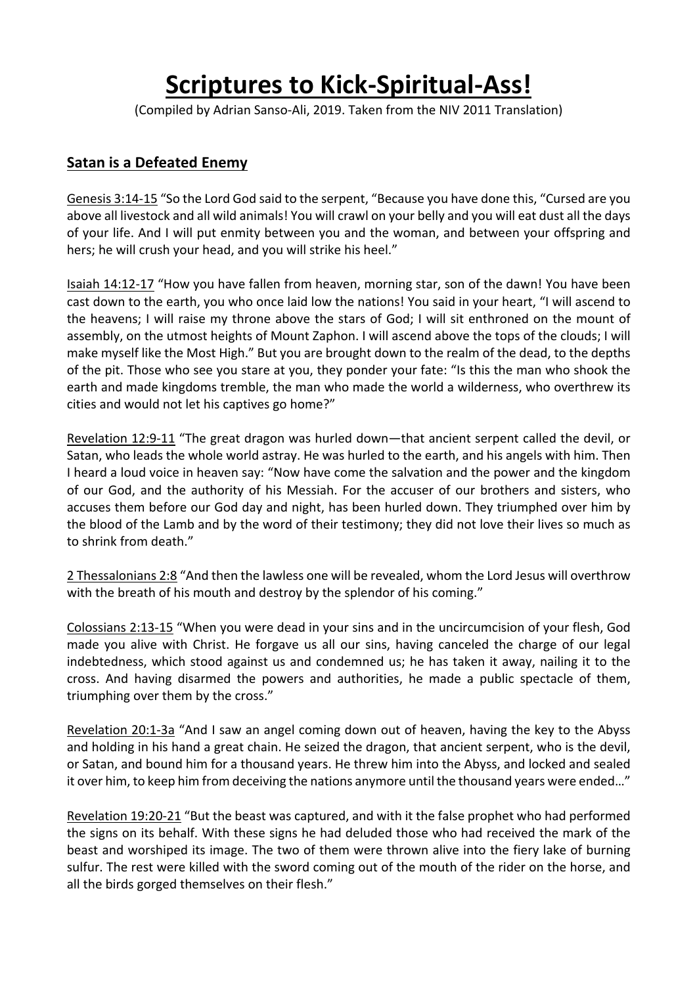# **Scriptures to Kick-Spiritual-Ass!**

(Compiled by Adrian Sanso-Ali, 2019. Taken from the NIV 2011 Translation)

# **Satan is a Defeated Enemy**

Genesis 3:14-15 "So the Lord God said to the serpent, "Because you have done this, "Cursed are you above all livestock and all wild animals! You will crawl on your belly and you will eat dust all the days of your life. And I will put enmity between you and the woman, and between your offspring and hers; he will crush your head, and you will strike his heel."

Isaiah 14:12-17 "How you have fallen from heaven, morning star, son of the dawn! You have been cast down to the earth, you who once laid low the nations! You said in your heart, "I will ascend to the heavens; I will raise my throne above the stars of God; I will sit enthroned on the mount of assembly, on the utmost heights of Mount Zaphon. I will ascend above the tops of the clouds; I will make myself like the Most High." But you are brought down to the realm of the dead, to the depths of the pit. Those who see you stare at you, they ponder your fate: "Is this the man who shook the earth and made kingdoms tremble, the man who made the world a wilderness, who overthrew its cities and would not let his captives go home?"

Revelation 12:9-11 "The great dragon was hurled down—that ancient serpent called the devil, or Satan, who leads the whole world astray. He was hurled to the earth, and his angels with him. Then I heard a loud voice in heaven say: "Now have come the salvation and the power and the kingdom of our God, and the authority of his Messiah. For the accuser of our brothers and sisters, who accuses them before our God day and night, has been hurled down. They triumphed over him by the blood of the Lamb and by the word of their testimony; they did not love their lives so much as to shrink from death."

2 Thessalonians 2:8 "And then the lawless one will be revealed, whom the Lord Jesus will overthrow with the breath of his mouth and destroy by the splendor of his coming."

Colossians 2:13-15 "When you were dead in your sins and in the uncircumcision of your flesh, God made you alive with Christ. He forgave us all our sins, having canceled the charge of our legal indebtedness, which stood against us and condemned us; he has taken it away, nailing it to the cross. And having disarmed the powers and authorities, he made a public spectacle of them, triumphing over them by the cross."

Revelation 20:1-3a "And I saw an angel coming down out of heaven, having the key to the Abyss and holding in his hand a great chain. He seized the dragon, that ancient serpent, who is the devil, or Satan, and bound him for a thousand years. He threw him into the Abyss, and locked and sealed it over him, to keep him from deceiving the nations anymore until the thousand years were ended…"

Revelation 19:20-21 "But the beast was captured, and with it the false prophet who had performed the signs on its behalf. With these signs he had deluded those who had received the mark of the beast and worshiped its image. The two of them were thrown alive into the fiery lake of burning sulfur. The rest were killed with the sword coming out of the mouth of the rider on the horse, and all the birds gorged themselves on their flesh."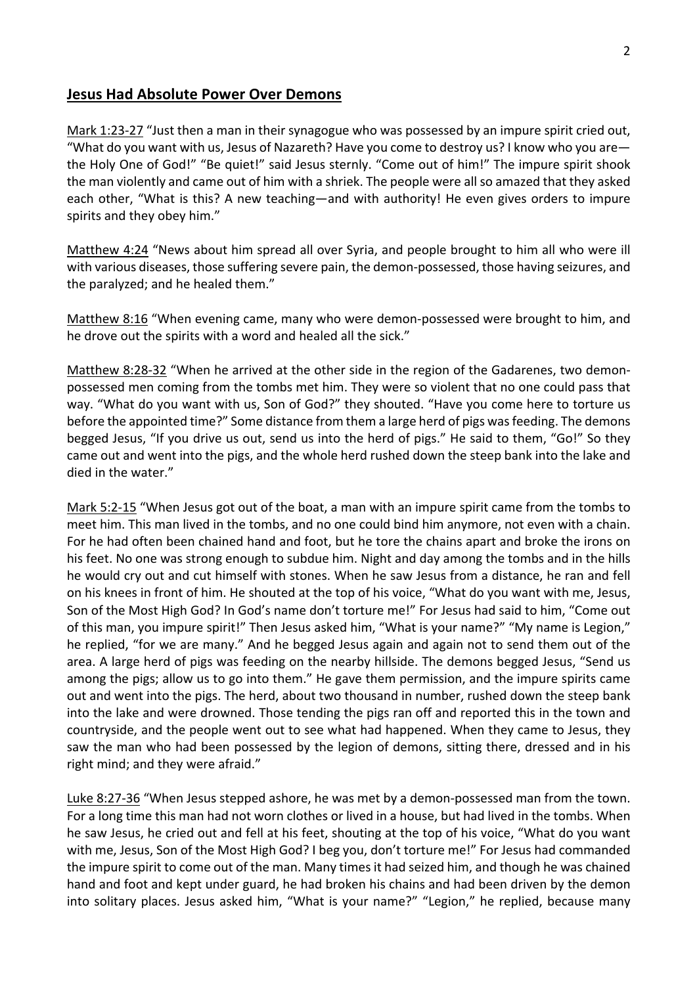#### **Jesus Had Absolute Power Over Demons**

Mark 1:23-27 "Just then a man in their synagogue who was possessed by an impure spirit cried out, "What do you want with us, Jesus of Nazareth? Have you come to destroy us? I know who you are the Holy One of God!" "Be quiet!" said Jesus sternly. "Come out of him!" The impure spirit shook the man violently and came out of him with a shriek. The people were all so amazed that they asked each other, "What is this? A new teaching—and with authority! He even gives orders to impure spirits and they obey him."

Matthew 4:24 "News about him spread all over Syria, and people brought to him all who were ill with various diseases, those suffering severe pain, the demon-possessed, those having seizures, and the paralyzed; and he healed them."

Matthew 8:16 "When evening came, many who were demon-possessed were brought to him, and he drove out the spirits with a word and healed all the sick."

Matthew 8:28-32 "When he arrived at the other side in the region of the Gadarenes, two demonpossessed men coming from the tombs met him. They were so violent that no one could pass that way. "What do you want with us, Son of God?" they shouted. "Have you come here to torture us before the appointed time?" Some distance from them a large herd of pigs was feeding. The demons begged Jesus, "If you drive us out, send us into the herd of pigs." He said to them, "Go!" So they came out and went into the pigs, and the whole herd rushed down the steep bank into the lake and died in the water."

Mark 5:2-15 "When Jesus got out of the boat, a man with an impure spirit came from the tombs to meet him. This man lived in the tombs, and no one could bind him anymore, not even with a chain. For he had often been chained hand and foot, but he tore the chains apart and broke the irons on his feet. No one was strong enough to subdue him. Night and day among the tombs and in the hills he would cry out and cut himself with stones. When he saw Jesus from a distance, he ran and fell on his knees in front of him. He shouted at the top of his voice, "What do you want with me, Jesus, Son of the Most High God? In God's name don't torture me!" For Jesus had said to him, "Come out of this man, you impure spirit!" Then Jesus asked him, "What is your name?" "My name is Legion," he replied, "for we are many." And he begged Jesus again and again not to send them out of the area. A large herd of pigs was feeding on the nearby hillside. The demons begged Jesus, "Send us among the pigs; allow us to go into them." He gave them permission, and the impure spirits came out and went into the pigs. The herd, about two thousand in number, rushed down the steep bank into the lake and were drowned. Those tending the pigs ran off and reported this in the town and countryside, and the people went out to see what had happened. When they came to Jesus, they saw the man who had been possessed by the legion of demons, sitting there, dressed and in his right mind; and they were afraid."

Luke 8:27-36 "When Jesus stepped ashore, he was met by a demon-possessed man from the town. For a long time this man had not worn clothes or lived in a house, but had lived in the tombs. When he saw Jesus, he cried out and fell at his feet, shouting at the top of his voice, "What do you want with me, Jesus, Son of the Most High God? I beg you, don't torture me!" For Jesus had commanded the impure spirit to come out of the man. Many times it had seized him, and though he was chained hand and foot and kept under guard, he had broken his chains and had been driven by the demon into solitary places. Jesus asked him, "What is your name?" "Legion," he replied, because many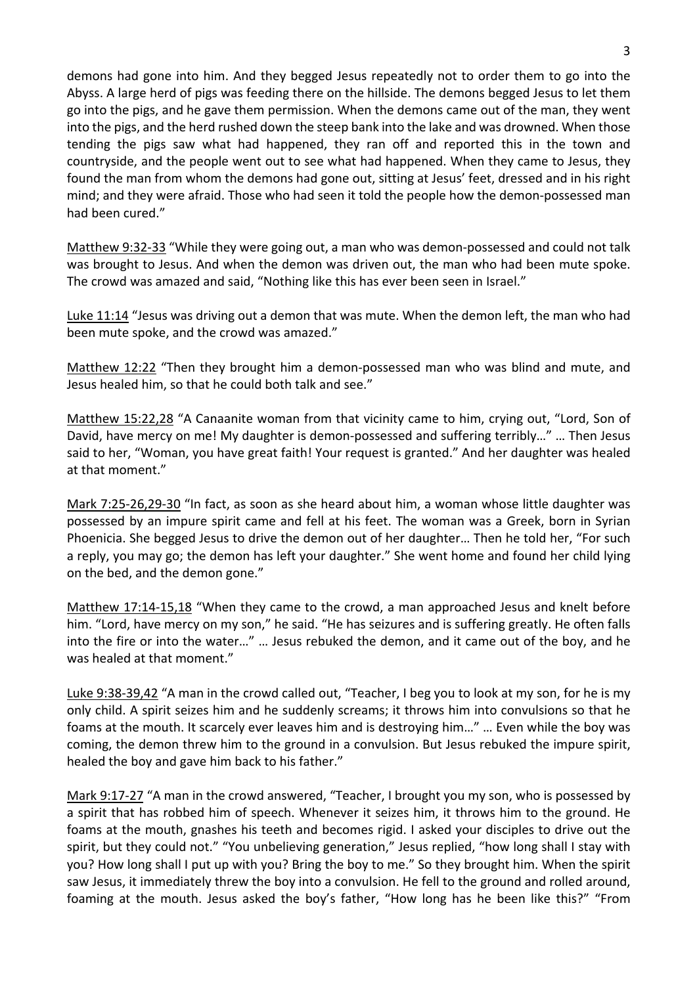demons had gone into him. And they begged Jesus repeatedly not to order them to go into the Abyss. A large herd of pigs was feeding there on the hillside. The demons begged Jesus to let them go into the pigs, and he gave them permission. When the demons came out of the man, they went into the pigs, and the herd rushed down the steep bank into the lake and was drowned. When those tending the pigs saw what had happened, they ran off and reported this in the town and countryside, and the people went out to see what had happened. When they came to Jesus, they found the man from whom the demons had gone out, sitting at Jesus' feet, dressed and in his right mind; and they were afraid. Those who had seen it told the people how the demon-possessed man had been cured."

Matthew 9:32-33 "While they were going out, a man who was demon-possessed and could not talk was brought to Jesus. And when the demon was driven out, the man who had been mute spoke. The crowd was amazed and said, "Nothing like this has ever been seen in Israel."

Luke 11:14 "Jesus was driving out a demon that was mute. When the demon left, the man who had been mute spoke, and the crowd was amazed."

Matthew 12:22 "Then they brought him a demon-possessed man who was blind and mute, and Jesus healed him, so that he could both talk and see."

Matthew 15:22,28 "A Canaanite woman from that vicinity came to him, crying out, "Lord, Son of David, have mercy on me! My daughter is demon-possessed and suffering terribly…" … Then Jesus said to her, "Woman, you have great faith! Your request is granted." And her daughter was healed at that moment."

Mark 7:25-26,29-30 "In fact, as soon as she heard about him, a woman whose little daughter was possessed by an impure spirit came and fell at his feet. The woman was a Greek, born in Syrian Phoenicia. She begged Jesus to drive the demon out of her daughter… Then he told her, "For such a reply, you may go; the demon has left your daughter." She went home and found her child lying on the bed, and the demon gone."

Matthew 17:14-15,18 "When they came to the crowd, a man approached Jesus and knelt before him. "Lord, have mercy on my son," he said. "He has seizures and is suffering greatly. He often falls into the fire or into the water…" … Jesus rebuked the demon, and it came out of the boy, and he was healed at that moment."

Luke 9:38-39,42 "A man in the crowd called out, "Teacher, I beg you to look at my son, for he is my only child. A spirit seizes him and he suddenly screams; it throws him into convulsions so that he foams at the mouth. It scarcely ever leaves him and is destroying him…" … Even while the boy was coming, the demon threw him to the ground in a convulsion. But Jesus rebuked the impure spirit, healed the boy and gave him back to his father."

Mark 9:17-27 "A man in the crowd answered, "Teacher, I brought you my son, who is possessed by a spirit that has robbed him of speech. Whenever it seizes him, it throws him to the ground. He foams at the mouth, gnashes his teeth and becomes rigid. I asked your disciples to drive out the spirit, but they could not." "You unbelieving generation," Jesus replied, "how long shall I stay with you? How long shall I put up with you? Bring the boy to me." So they brought him. When the spirit saw Jesus, it immediately threw the boy into a convulsion. He fell to the ground and rolled around, foaming at the mouth. Jesus asked the boy's father, "How long has he been like this?" "From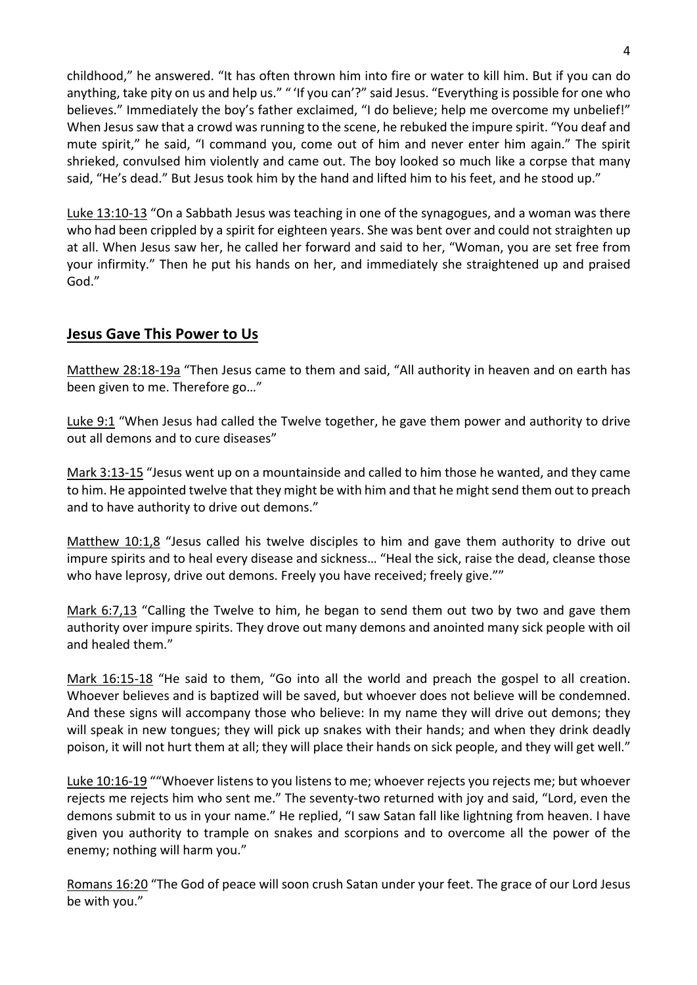childhood," he answered. "It has often thrown him into fire or water to kill him. But if you can do anything, take pity on us and help us." " 'If you can'?" said Jesus. "Everything is possible for one who believes." Immediately the boy's father exclaimed, "I do believe; help me overcome my unbelief!" When Jesus saw that a crowd was running to the scene, he rebuked the impure spirit. "You deaf and mute spirit," he said, "I command you, come out of him and never enter him again." The spirit shrieked, convulsed him violently and came out. The boy looked so much like a corpse that many said, "He's dead." But Jesus took him by the hand and lifted him to his feet, and he stood up."

Luke 13:10-13 "On a Sabbath Jesus was teaching in one of the synagogues, and a woman was there who had been crippled by a spirit for eighteen years. She was bent over and could not straighten up at all. When Jesus saw her, he called her forward and said to her, "Woman, you are set free from your infirmity." Then he put his hands on her, and immediately she straightened up and praised God."

### **Jesus Gave This Power to Us**

Matthew 28:18-19a "Then Jesus came to them and said, "All authority in heaven and on earth has been given to me. Therefore go…"

Luke 9:1 "When Jesus had called the Twelve together, he gave them power and authority to drive out all demons and to cure diseases"

Mark 3:13-15 "Jesus went up on a mountainside and called to him those he wanted, and they came to him. He appointed twelve that they might be with him and that he might send them out to preach and to have authority to drive out demons."

Matthew 10:1,8 "Jesus called his twelve disciples to him and gave them authority to drive out impure spirits and to heal every disease and sickness… "Heal the sick, raise the dead, cleanse those who have leprosy, drive out demons. Freely you have received; freely give.""

Mark 6:7,13 "Calling the Twelve to him, he began to send them out two by two and gave them authority over impure spirits. They drove out many demons and anointed many sick people with oil and healed them."

Mark 16:15-18 "He said to them, "Go into all the world and preach the gospel to all creation. Whoever believes and is baptized will be saved, but whoever does not believe will be condemned. And these signs will accompany those who believe: In my name they will drive out demons; they will speak in new tongues; they will pick up snakes with their hands; and when they drink deadly poison, it will not hurt them at all; they will place their hands on sick people, and they will get well."

Luke 10:16-19 ""Whoever listens to you listens to me; whoever rejects you rejects me; but whoever rejects me rejects him who sent me." The seventy-two returned with joy and said, "Lord, even the demons submit to us in your name." He replied, "I saw Satan fall like lightning from heaven. I have given you authority to trample on snakes and scorpions and to overcome all the power of the enemy; nothing will harm you."

Romans 16:20 "The God of peace will soon crush Satan under your feet. The grace of our Lord Jesus be with you."